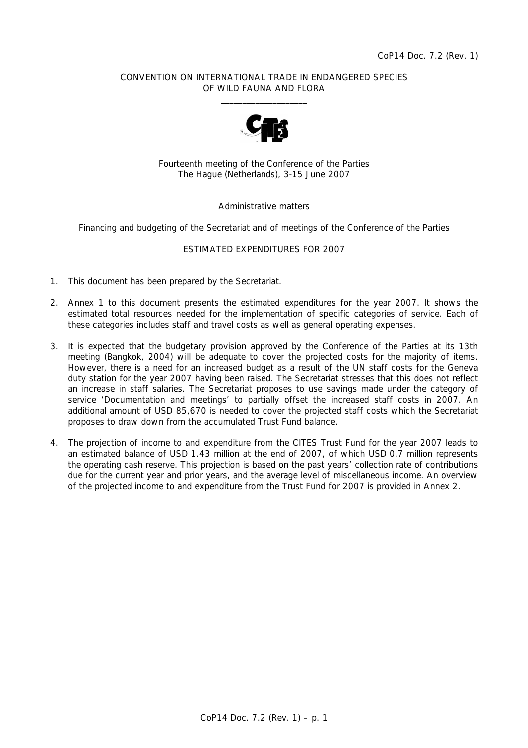### CONVENTION ON INTERNATIONAL TRADE IN ENDANGERED SPECIES OF WILD FAUNA AND FLORA  $\frac{1}{2}$  ,  $\frac{1}{2}$  ,  $\frac{1}{2}$  ,  $\frac{1}{2}$  ,  $\frac{1}{2}$  ,  $\frac{1}{2}$  ,  $\frac{1}{2}$  ,  $\frac{1}{2}$  ,  $\frac{1}{2}$  ,  $\frac{1}{2}$  ,  $\frac{1}{2}$  ,  $\frac{1}{2}$  ,  $\frac{1}{2}$  ,  $\frac{1}{2}$  ,  $\frac{1}{2}$  ,  $\frac{1}{2}$  ,  $\frac{1}{2}$  ,  $\frac{1}{2}$  ,  $\frac{1$



Fourteenth meeting of the Conference of the Parties The Hague (Netherlands), 3-15 June 2007

### Administrative matters

### Financing and budgeting of the Secretariat and of meetings of the Conference of the Parties

### ESTIMATED EXPENDITURES FOR 2007

- 1. This document has been prepared by the Secretariat.
- 2. Annex 1 to this document presents the estimated expenditures for the year 2007. It shows the estimated total resources needed for the implementation of specific categories of service. Each of these categories includes staff and travel costs as well as general operating expenses.
- 3. It is expected that the budgetary provision approved by the Conference of the Parties at its 13th meeting (Bangkok, 2004) will be adequate to cover the projected costs for the majority of items. However, there is a need for an increased budget as a result of the UN staff costs for the Geneva duty station for the year 2007 having been raised. The Secretariat stresses that this does not reflect an increase in staff salaries. The Secretariat proposes to use savings made under the category of service 'Documentation and meetings' to partially offset the increased staff costs in 2007. An additional amount of USD 85,670 is needed to cover the projected staff costs which the Secretariat proposes to draw down from the accumulated Trust Fund balance.
- 4. The projection of income to and expenditure from the CITES Trust Fund for the year 2007 leads to an estimated balance of USD 1.43 million at the end of 2007, of which USD 0.7 million represents the operating cash reserve. This projection is based on the past years' collection rate of contributions due for the current year and prior years, and the average level of miscellaneous income. An overview of the projected income to and expenditure from the Trust Fund for 2007 is provided in Annex 2.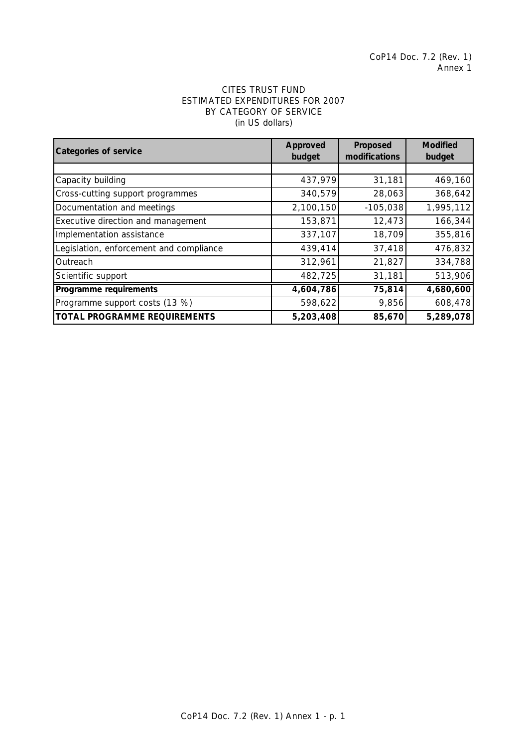# ESTIMATED EXPENDITURES FOR 2007 BY CATEGORY OF SERVICE (in US dollars) CITES TRUST FUND

| <b>Categories of service</b>            | Approved<br>budget | Proposed<br>modifications | <b>Modified</b><br>budget |
|-----------------------------------------|--------------------|---------------------------|---------------------------|
|                                         |                    |                           |                           |
| Capacity building                       | 437,979            | 31,181                    | 469,160                   |
| Cross-cutting support programmes        | 340,579            | 28,063                    | 368,642                   |
| Documentation and meetings              | 2,100,150          | $-105,038$                | 1,995,112                 |
| Executive direction and management      | 153,871            | 12,473                    | 166,344                   |
| Implementation assistance               | 337,107            | 18,709                    | 355,816                   |
| Legislation, enforcement and compliance | 439,414            | 37,418                    | 476,832                   |
| Outreach                                | 312,961            | 21,827                    | 334,788                   |
| Scientific support                      | 482,725            | 31,181                    | 513,906                   |
| Programme requirements                  | 4,604,786          | 75,814                    | 4,680,600                 |
| Programme support costs (13 %)          | 598,622            | 9,856                     | 608,478                   |
| <b>TOTAL PROGRAMME REQUIREMENTS</b>     | 5,203,408          | 85,670                    | 5,289,078                 |